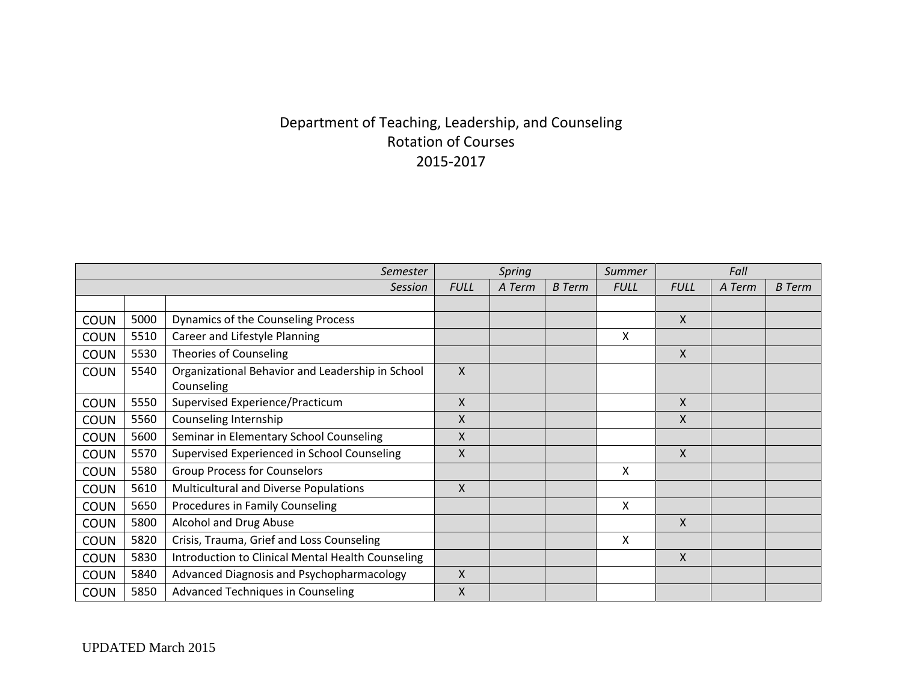## Department of Teaching, Leadership, and Counseling Rotation of Courses 2015-2017

|             |      | Semester                                          | Spring                    |        | <b>Summer</b> | Fall        |              |        |               |
|-------------|------|---------------------------------------------------|---------------------------|--------|---------------|-------------|--------------|--------|---------------|
|             |      | <b>Session</b>                                    | <b>FULL</b>               | A Term | <b>B</b> Term | <b>FULL</b> | <b>FULL</b>  | A Term | <b>B</b> Term |
|             |      |                                                   |                           |        |               |             |              |        |               |
| <b>COUN</b> | 5000 | Dynamics of the Counseling Process                |                           |        |               |             | X            |        |               |
| <b>COUN</b> | 5510 | Career and Lifestyle Planning                     |                           |        |               | x           |              |        |               |
| <b>COUN</b> | 5530 | <b>Theories of Counseling</b>                     |                           |        |               |             | $\mathsf{X}$ |        |               |
| <b>COUN</b> | 5540 | Organizational Behavior and Leadership in School  | $\boldsymbol{\mathsf{X}}$ |        |               |             |              |        |               |
|             |      | Counseling                                        |                           |        |               |             |              |        |               |
| <b>COUN</b> | 5550 | Supervised Experience/Practicum                   | X                         |        |               |             | $\mathsf{X}$ |        |               |
| <b>COUN</b> | 5560 | Counseling Internship                             | X                         |        |               |             | $\mathsf{X}$ |        |               |
| <b>COUN</b> | 5600 | Seminar in Elementary School Counseling           | X                         |        |               |             |              |        |               |
| <b>COUN</b> | 5570 | Supervised Experienced in School Counseling       | $\boldsymbol{\mathsf{X}}$ |        |               |             | $\mathsf{X}$ |        |               |
| <b>COUN</b> | 5580 | <b>Group Process for Counselors</b>               |                           |        |               | X           |              |        |               |
| <b>COUN</b> | 5610 | Multicultural and Diverse Populations             | X                         |        |               |             |              |        |               |
| <b>COUN</b> | 5650 | Procedures in Family Counseling                   |                           |        |               | X           |              |        |               |
| <b>COUN</b> | 5800 | Alcohol and Drug Abuse                            |                           |        |               |             | $\mathsf{X}$ |        |               |
| <b>COUN</b> | 5820 | Crisis, Trauma, Grief and Loss Counseling         |                           |        |               | Χ           |              |        |               |
| <b>COUN</b> | 5830 | Introduction to Clinical Mental Health Counseling |                           |        |               |             | $\mathsf{x}$ |        |               |
| <b>COUN</b> | 5840 | Advanced Diagnosis and Psychopharmacology         | $\sf X$                   |        |               |             |              |        |               |
| <b>COUN</b> | 5850 | <b>Advanced Techniques in Counseling</b>          | X                         |        |               |             |              |        |               |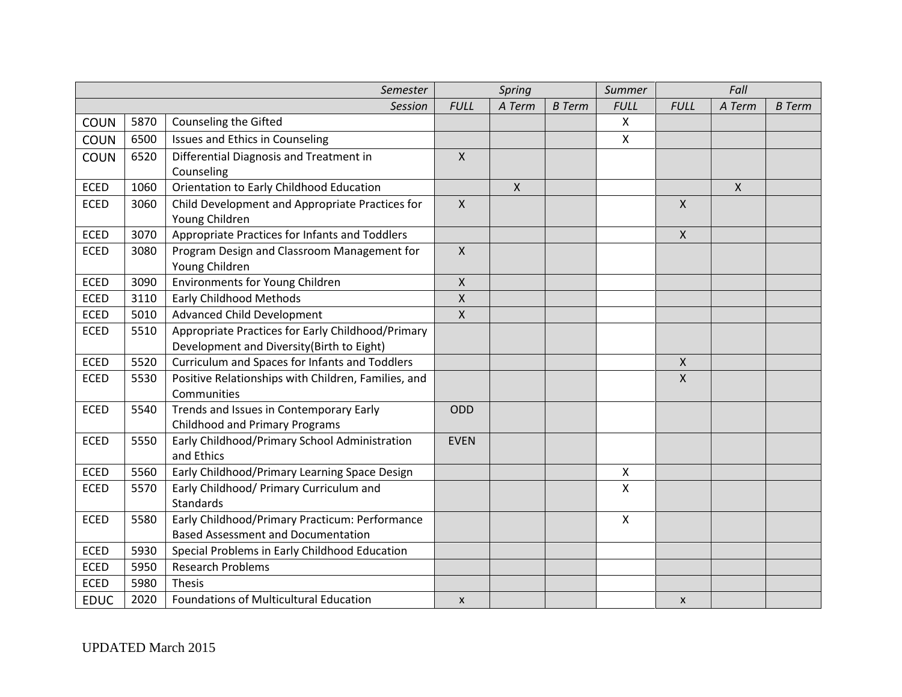|             |      | Semester                                                                                    |                    | <b>Spring</b> |               | Summer         |                           | Fall                      |               |  |
|-------------|------|---------------------------------------------------------------------------------------------|--------------------|---------------|---------------|----------------|---------------------------|---------------------------|---------------|--|
|             |      | Session                                                                                     | <b>FULL</b>        | A Term        | <b>B</b> Term | <b>FULL</b>    | <b>FULL</b>               | A Term                    | <b>B</b> Term |  |
| <b>COUN</b> | 5870 | Counseling the Gifted                                                                       |                    |               |               | X              |                           |                           |               |  |
| <b>COUN</b> | 6500 | Issues and Ethics in Counseling                                                             |                    |               |               | $\mathsf{X}$   |                           |                           |               |  |
| <b>COUN</b> | 6520 | Differential Diagnosis and Treatment in                                                     | $\mathsf{X}$       |               |               |                |                           |                           |               |  |
|             |      | Counseling                                                                                  |                    |               |               |                |                           |                           |               |  |
| <b>ECED</b> | 1060 | Orientation to Early Childhood Education                                                    |                    | $\mathsf{X}$  |               |                |                           | $\boldsymbol{\mathsf{X}}$ |               |  |
| <b>ECED</b> | 3060 | Child Development and Appropriate Practices for                                             | $\mathsf{X}$       |               |               |                | $\mathsf{X}$              |                           |               |  |
|             |      | Young Children                                                                              |                    |               |               |                |                           |                           |               |  |
| <b>ECED</b> | 3070 | Appropriate Practices for Infants and Toddlers                                              |                    |               |               |                | $\boldsymbol{\mathsf{X}}$ |                           |               |  |
| <b>ECED</b> | 3080 | Program Design and Classroom Management for                                                 | $\mathsf{X}$       |               |               |                |                           |                           |               |  |
|             |      | Young Children                                                                              |                    |               |               |                |                           |                           |               |  |
| <b>ECED</b> | 3090 | <b>Environments for Young Children</b>                                                      | $\mathsf{X}$       |               |               |                |                           |                           |               |  |
| <b>ECED</b> | 3110 | <b>Early Childhood Methods</b>                                                              | $\pmb{\mathsf{X}}$ |               |               |                |                           |                           |               |  |
| <b>ECED</b> | 5010 | <b>Advanced Child Development</b>                                                           | $\pmb{\mathsf{X}}$ |               |               |                |                           |                           |               |  |
| <b>ECED</b> | 5510 | Appropriate Practices for Early Childhood/Primary                                           |                    |               |               |                |                           |                           |               |  |
|             |      | Development and Diversity(Birth to Eight)                                                   |                    |               |               |                |                           |                           |               |  |
| <b>ECED</b> | 5520 | Curriculum and Spaces for Infants and Toddlers                                              |                    |               |               |                | $\mathsf{X}$              |                           |               |  |
| <b>ECED</b> | 5530 | Positive Relationships with Children, Families, and<br>Communities                          |                    |               |               |                | $\boldsymbol{\mathsf{X}}$ |                           |               |  |
| <b>ECED</b> | 5540 | Trends and Issues in Contemporary Early<br><b>Childhood and Primary Programs</b>            | ODD                |               |               |                |                           |                           |               |  |
| <b>ECED</b> | 5550 | Early Childhood/Primary School Administration<br>and Ethics                                 | <b>EVEN</b>        |               |               |                |                           |                           |               |  |
| <b>ECED</b> | 5560 | Early Childhood/Primary Learning Space Design                                               |                    |               |               | $\pmb{\times}$ |                           |                           |               |  |
| <b>ECED</b> | 5570 | Early Childhood/ Primary Curriculum and                                                     |                    |               |               | X              |                           |                           |               |  |
|             |      | <b>Standards</b>                                                                            |                    |               |               |                |                           |                           |               |  |
| <b>ECED</b> | 5580 | Early Childhood/Primary Practicum: Performance<br><b>Based Assessment and Documentation</b> |                    |               |               | $\mathsf{X}$   |                           |                           |               |  |
|             |      |                                                                                             |                    |               |               |                |                           |                           |               |  |
| <b>ECED</b> | 5930 | Special Problems in Early Childhood Education                                               |                    |               |               |                |                           |                           |               |  |
| ECED        | 5950 | <b>Research Problems</b>                                                                    |                    |               |               |                |                           |                           |               |  |
| <b>ECED</b> | 5980 | <b>Thesis</b>                                                                               |                    |               |               |                |                           |                           |               |  |
| <b>EDUC</b> | 2020 | Foundations of Multicultural Education                                                      | X                  |               |               |                | $\boldsymbol{\mathsf{x}}$ |                           |               |  |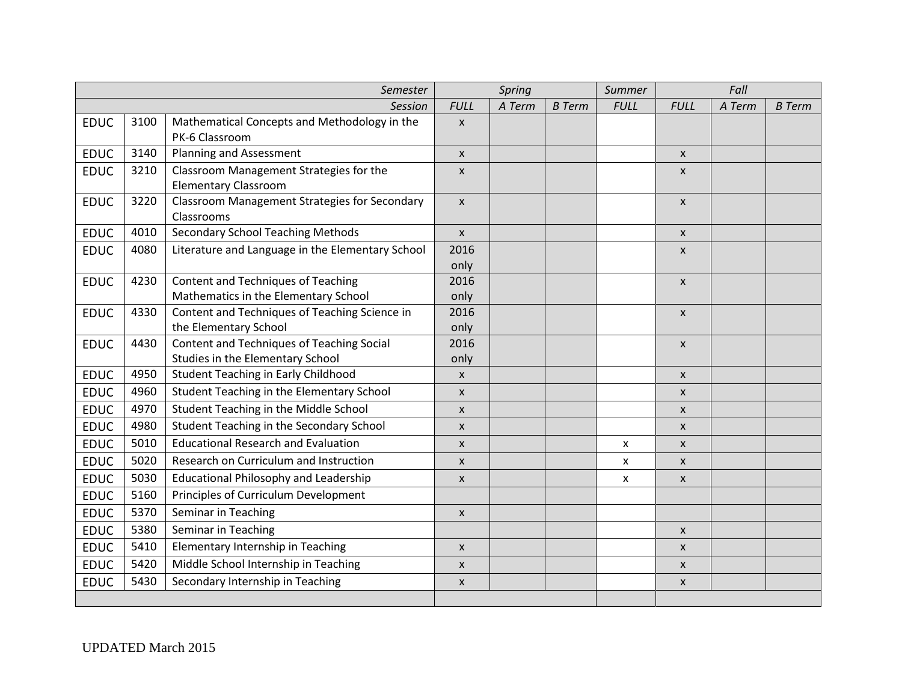| Semester    |      |                                                             |                           | Spring |               | Summer      |                           | Fall   |               |
|-------------|------|-------------------------------------------------------------|---------------------------|--------|---------------|-------------|---------------------------|--------|---------------|
|             |      | <b>Session</b>                                              | <b>FULL</b>               | A Term | <b>B</b> Term | <b>FULL</b> | <b>FULL</b>               | A Term | <b>B</b> Term |
| <b>EDUC</b> | 3100 | Mathematical Concepts and Methodology in the                | $\boldsymbol{\mathsf{x}}$ |        |               |             |                           |        |               |
|             |      | PK-6 Classroom                                              |                           |        |               |             |                           |        |               |
| <b>EDUC</b> | 3140 | <b>Planning and Assessment</b>                              | $\boldsymbol{\mathsf{x}}$ |        |               |             | $\boldsymbol{\mathsf{x}}$ |        |               |
| <b>EDUC</b> | 3210 | Classroom Management Strategies for the                     | $\boldsymbol{\mathsf{X}}$ |        |               |             | $\mathsf{x}$              |        |               |
|             |      | <b>Elementary Classroom</b>                                 |                           |        |               |             |                           |        |               |
| <b>EDUC</b> | 3220 | Classroom Management Strategies for Secondary<br>Classrooms | $\mathsf{x}$              |        |               |             | $\mathsf{x}$              |        |               |
| <b>EDUC</b> | 4010 | <b>Secondary School Teaching Methods</b>                    | $\mathsf{x}$              |        |               |             | $\boldsymbol{\mathsf{x}}$ |        |               |
| <b>EDUC</b> | 4080 | Literature and Language in the Elementary School            | 2016                      |        |               |             | $\boldsymbol{\mathsf{x}}$ |        |               |
|             |      |                                                             | only                      |        |               |             |                           |        |               |
| <b>EDUC</b> | 4230 | Content and Techniques of Teaching                          | 2016                      |        |               |             | $\pmb{\times}$            |        |               |
|             |      | Mathematics in the Elementary School                        | only                      |        |               |             |                           |        |               |
| <b>EDUC</b> | 4330 | Content and Techniques of Teaching Science in               | 2016                      |        |               |             | $\boldsymbol{\mathsf{x}}$ |        |               |
|             |      | the Elementary School                                       | only                      |        |               |             |                           |        |               |
| <b>EDUC</b> | 4430 | Content and Techniques of Teaching Social                   | 2016                      |        |               |             | $\mathsf{x}$              |        |               |
|             |      | Studies in the Elementary School                            | only                      |        |               |             |                           |        |               |
| <b>EDUC</b> | 4950 | <b>Student Teaching in Early Childhood</b>                  | $\pmb{\times}$            |        |               |             | $\mathsf{x}$              |        |               |
| <b>EDUC</b> | 4960 | Student Teaching in the Elementary School                   | $\pmb{\mathsf{X}}$        |        |               |             | $\mathsf{x}$              |        |               |
| <b>EDUC</b> | 4970 | Student Teaching in the Middle School                       | $\mathsf{x}$              |        |               |             | $\mathsf{x}$              |        |               |
| <b>EDUC</b> | 4980 | Student Teaching in the Secondary School                    | X                         |        |               |             | $\boldsymbol{\mathsf{x}}$ |        |               |
| <b>EDUC</b> | 5010 | <b>Educational Research and Evaluation</b>                  | $\boldsymbol{\mathsf{X}}$ |        |               | X           | $\mathsf{x}$              |        |               |
| <b>EDUC</b> | 5020 | Research on Curriculum and Instruction                      | $\pmb{\times}$            |        |               | x           | $\mathsf{x}$              |        |               |
| <b>EDUC</b> | 5030 | <b>Educational Philosophy and Leadership</b>                | $\boldsymbol{\mathsf{X}}$ |        |               | x           | $\mathsf{x}$              |        |               |
| <b>EDUC</b> | 5160 | Principles of Curriculum Development                        |                           |        |               |             |                           |        |               |
| <b>EDUC</b> | 5370 | Seminar in Teaching                                         | $\boldsymbol{\mathsf{X}}$ |        |               |             |                           |        |               |
| <b>EDUC</b> | 5380 | Seminar in Teaching                                         |                           |        |               |             | $\mathsf{x}$              |        |               |
| <b>EDUC</b> | 5410 | Elementary Internship in Teaching                           | $\pmb{\times}$            |        |               |             | $\mathsf{x}$              |        |               |
| <b>EDUC</b> | 5420 | Middle School Internship in Teaching                        | $\mathsf{x}$              |        |               |             | $\mathsf{x}$              |        |               |
| <b>EDUC</b> | 5430 | Secondary Internship in Teaching                            | $\boldsymbol{\mathsf{X}}$ |        |               |             | $\mathsf{x}$              |        |               |
|             |      |                                                             |                           |        |               |             |                           |        |               |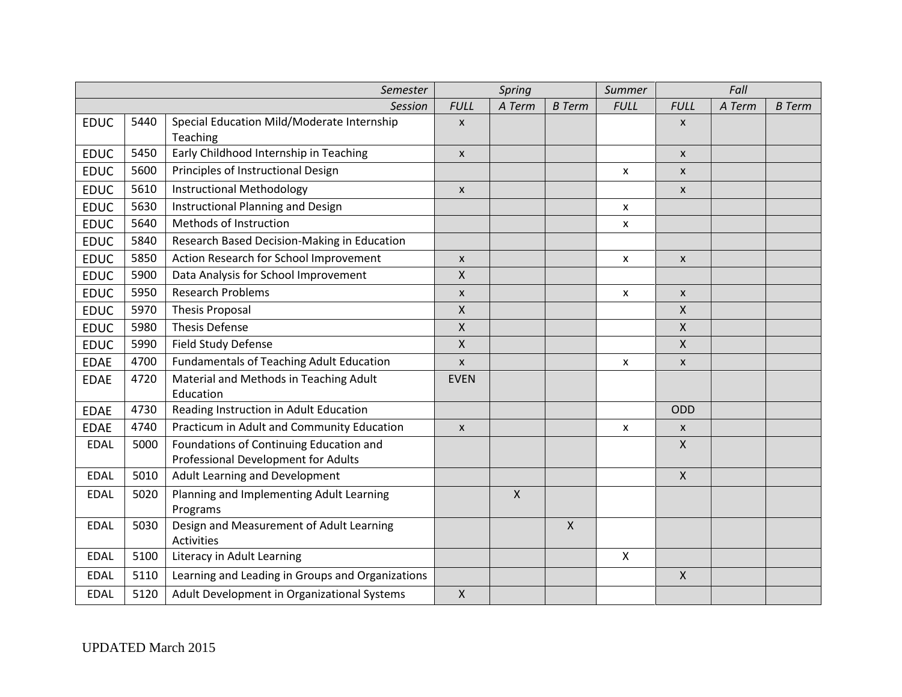|             | Semester |                                                               |                           | Spring       |                           | Summer         | Fall                      |        |               |
|-------------|----------|---------------------------------------------------------------|---------------------------|--------------|---------------------------|----------------|---------------------------|--------|---------------|
|             |          | <b>Session</b>                                                | <b>FULL</b>               | A Term       | <b>B</b> Term             | <b>FULL</b>    | <b>FULL</b>               | A Term | <b>B</b> Term |
| <b>EDUC</b> | 5440     | Special Education Mild/Moderate Internship                    | X                         |              |                           |                | $\boldsymbol{\mathsf{x}}$ |        |               |
|             |          | Teaching                                                      |                           |              |                           |                |                           |        |               |
| <b>EDUC</b> | 5450     | Early Childhood Internship in Teaching                        | $\pmb{\mathsf{X}}$        |              |                           |                | $\pmb{\mathsf{X}}$        |        |               |
| <b>EDUC</b> | 5600     | Principles of Instructional Design                            |                           |              |                           | $\pmb{\times}$ | $\mathsf{x}$              |        |               |
| <b>EDUC</b> | 5610     | <b>Instructional Methodology</b>                              | $\pmb{\times}$            |              |                           |                | $\mathsf{x}$              |        |               |
| <b>EDUC</b> | 5630     | Instructional Planning and Design                             |                           |              |                           | X              |                           |        |               |
| <b>EDUC</b> | 5640     | Methods of Instruction                                        |                           |              |                           | X              |                           |        |               |
| <b>EDUC</b> | 5840     | Research Based Decision-Making in Education                   |                           |              |                           |                |                           |        |               |
| <b>EDUC</b> | 5850     | Action Research for School Improvement                        | X                         |              |                           | X              | $\mathsf{x}$              |        |               |
| <b>EDUC</b> | 5900     | Data Analysis for School Improvement                          | X                         |              |                           |                |                           |        |               |
| <b>EDUC</b> | 5950     | <b>Research Problems</b>                                      | $\pmb{\mathsf{X}}$        |              |                           | X              | $\pmb{\mathsf{X}}$        |        |               |
| <b>EDUC</b> | 5970     | <b>Thesis Proposal</b>                                        | X                         |              |                           |                | $\mathsf{X}$              |        |               |
| <b>EDUC</b> | 5980     | <b>Thesis Defense</b>                                         | Χ                         |              |                           |                | $\boldsymbol{\mathsf{X}}$ |        |               |
| <b>EDUC</b> | 5990     | <b>Field Study Defense</b>                                    | X                         |              |                           |                | $\mathsf{X}$              |        |               |
| <b>EDAE</b> | 4700     | <b>Fundamentals of Teaching Adult Education</b>               | $\boldsymbol{x}$          |              |                           | x              | $\pmb{\mathsf{X}}$        |        |               |
| <b>EDAE</b> | 4720     | Material and Methods in Teaching Adult                        | <b>EVEN</b>               |              |                           |                |                           |        |               |
|             |          | Education                                                     |                           |              |                           |                |                           |        |               |
| <b>EDAE</b> | 4730     | Reading Instruction in Adult Education                        |                           |              |                           |                | ODD                       |        |               |
| <b>EDAE</b> | 4740     | Practicum in Adult and Community Education                    | $\boldsymbol{\mathsf{X}}$ |              |                           | X              | $\mathsf{x}$              |        |               |
| <b>EDAL</b> | 5000     | Foundations of Continuing Education and                       |                           |              |                           |                | $\boldsymbol{\mathsf{X}}$ |        |               |
|             |          | Professional Development for Adults                           |                           |              |                           |                |                           |        |               |
| <b>EDAL</b> | 5010     | Adult Learning and Development                                |                           |              |                           |                | $\mathsf{X}$              |        |               |
| <b>EDAL</b> | 5020     | Planning and Implementing Adult Learning                      |                           | $\mathsf{X}$ |                           |                |                           |        |               |
|             |          | Programs                                                      |                           |              |                           |                |                           |        |               |
| <b>EDAL</b> | 5030     | Design and Measurement of Adult Learning<br><b>Activities</b> |                           |              | $\boldsymbol{\mathsf{X}}$ |                |                           |        |               |
| <b>EDAL</b> | 5100     | Literacy in Adult Learning                                    |                           |              |                           | $\mathsf{X}$   |                           |        |               |
| <b>EDAL</b> | 5110     | Learning and Leading in Groups and Organizations              |                           |              |                           |                | $\boldsymbol{\mathsf{X}}$ |        |               |
| <b>EDAL</b> | 5120     | Adult Development in Organizational Systems                   | $\mathsf{X}$              |              |                           |                |                           |        |               |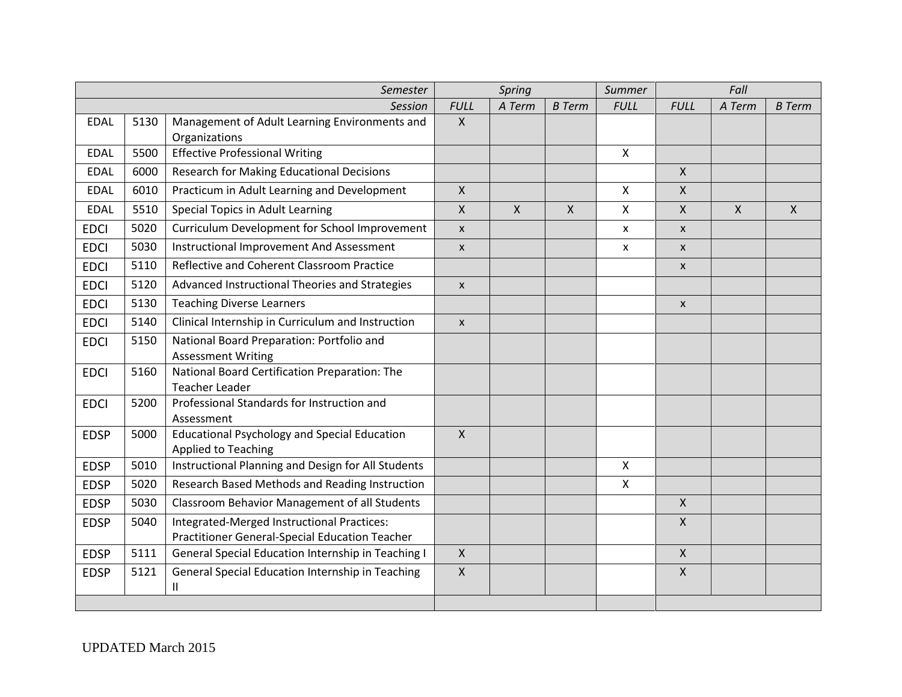|             | Semester |                                                                            |                           | Spring       |                           | Summer                    | Fall                      |              |               |  |
|-------------|----------|----------------------------------------------------------------------------|---------------------------|--------------|---------------------------|---------------------------|---------------------------|--------------|---------------|--|
|             |          | Session                                                                    | <b>FULL</b>               | A Term       | <b>B</b> Term             | <b>FULL</b>               | <b>FULL</b>               | A Term       | <b>B</b> Term |  |
| <b>EDAL</b> | 5130     | Management of Adult Learning Environments and                              | $\mathsf{X}$              |              |                           |                           |                           |              |               |  |
|             |          | Organizations                                                              |                           |              |                           |                           |                           |              |               |  |
| <b>EDAL</b> | 5500     | <b>Effective Professional Writing</b>                                      |                           |              |                           | $\mathsf{X}$              |                           |              |               |  |
| <b>EDAL</b> | 6000     | <b>Research for Making Educational Decisions</b>                           |                           |              |                           |                           | $\mathsf{X}$              |              |               |  |
| <b>EDAL</b> | 6010     | Practicum in Adult Learning and Development                                | $\mathsf{X}$              |              |                           | X                         | $\mathsf{X}$              |              |               |  |
| <b>EDAL</b> | 5510     | <b>Special Topics in Adult Learning</b>                                    | $\mathsf{X}$              | $\mathsf{X}$ | $\boldsymbol{\mathsf{X}}$ | $\boldsymbol{\mathsf{X}}$ | $\mathsf{X}$              | $\mathsf{X}$ | $\mathsf{X}$  |  |
| <b>EDCI</b> | 5020     | Curriculum Development for School Improvement                              | $\mathsf{x}$              |              |                           | X                         | $\pmb{\chi}$              |              |               |  |
| <b>EDCI</b> | 5030     | Instructional Improvement And Assessment                                   | $\boldsymbol{\mathsf{x}}$ |              |                           | X                         | $\mathsf{x}$              |              |               |  |
| <b>EDCI</b> | 5110     | Reflective and Coherent Classroom Practice                                 |                           |              |                           |                           | $\boldsymbol{\mathsf{x}}$ |              |               |  |
| <b>EDCI</b> | 5120     | Advanced Instructional Theories and Strategies                             | $\boldsymbol{\mathsf{x}}$ |              |                           |                           |                           |              |               |  |
| <b>EDCI</b> | 5130     | <b>Teaching Diverse Learners</b>                                           |                           |              |                           |                           | $\boldsymbol{\mathsf{x}}$ |              |               |  |
| <b>EDCI</b> | 5140     | Clinical Internship in Curriculum and Instruction                          | $\boldsymbol{X}$          |              |                           |                           |                           |              |               |  |
| <b>EDCI</b> | 5150     | National Board Preparation: Portfolio and                                  |                           |              |                           |                           |                           |              |               |  |
|             |          | <b>Assessment Writing</b>                                                  |                           |              |                           |                           |                           |              |               |  |
| <b>EDCI</b> | 5160     | National Board Certification Preparation: The                              |                           |              |                           |                           |                           |              |               |  |
|             |          | <b>Teacher Leader</b>                                                      |                           |              |                           |                           |                           |              |               |  |
| <b>EDCI</b> | 5200     | Professional Standards for Instruction and<br>Assessment                   |                           |              |                           |                           |                           |              |               |  |
| <b>EDSP</b> | 5000     | <b>Educational Psychology and Special Education</b><br>Applied to Teaching | $\mathsf{X}$              |              |                           |                           |                           |              |               |  |
| <b>EDSP</b> | 5010     | Instructional Planning and Design for All Students                         |                           |              |                           | $\boldsymbol{\mathsf{X}}$ |                           |              |               |  |
| <b>EDSP</b> | 5020     | Research Based Methods and Reading Instruction                             |                           |              |                           | $\mathsf X$               |                           |              |               |  |
| <b>EDSP</b> | 5030     | Classroom Behavior Management of all Students                              |                           |              |                           |                           | $\mathsf{X}$              |              |               |  |
| <b>EDSP</b> | 5040     | Integrated-Merged Instructional Practices:                                 |                           |              |                           |                           | $\mathsf{X}$              |              |               |  |
|             |          | Practitioner General-Special Education Teacher                             |                           |              |                           |                           |                           |              |               |  |
| <b>EDSP</b> | 5111     | General Special Education Internship in Teaching I                         | $\mathsf{X}$              |              |                           |                           | $\mathsf{X}$              |              |               |  |
| <b>EDSP</b> | 5121     | General Special Education Internship in Teaching<br>Ш                      | $\mathsf{X}$              |              |                           |                           | $\mathsf{X}$              |              |               |  |
|             |          |                                                                            |                           |              |                           |                           |                           |              |               |  |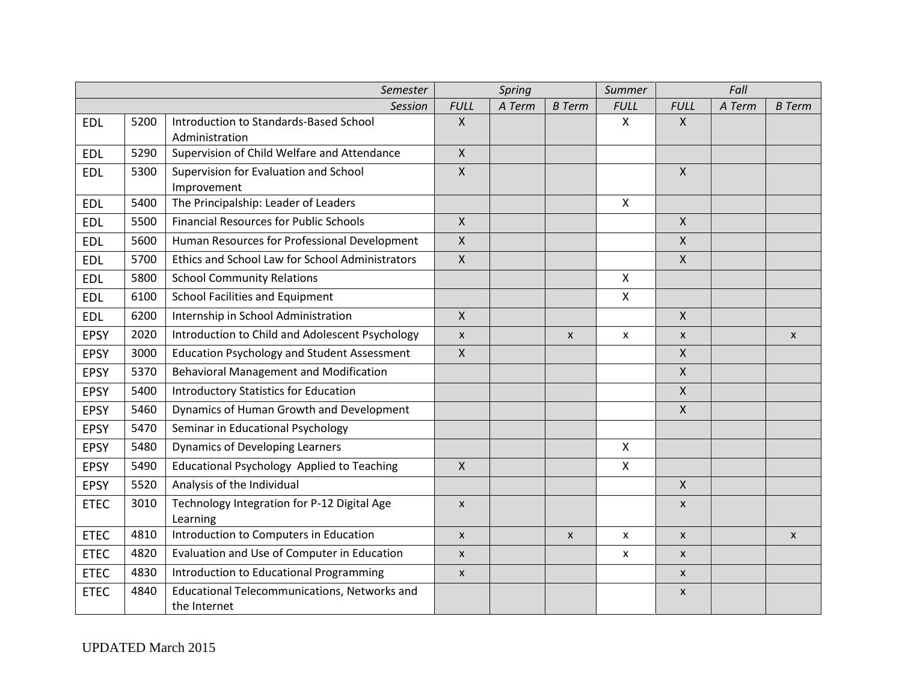| Semester    |      |                                                      | Spring                    |        | Summer         | Fall                      |                           |        |                           |
|-------------|------|------------------------------------------------------|---------------------------|--------|----------------|---------------------------|---------------------------|--------|---------------------------|
|             |      | <b>Session</b>                                       | <b>FULL</b>               | A Term | <b>B</b> Term  | <b>FULL</b>               | <b>FULL</b>               | A Term | <b>B</b> Term             |
| <b>EDL</b>  | 5200 | Introduction to Standards-Based School               | $\mathsf{X}$              |        |                | $\pmb{\times}$            | $\mathsf{X}$              |        |                           |
|             |      | Administration                                       |                           |        |                |                           |                           |        |                           |
| <b>EDL</b>  | 5290 | Supervision of Child Welfare and Attendance          | $\mathsf{X}$              |        |                |                           |                           |        |                           |
| <b>EDL</b>  | 5300 | Supervision for Evaluation and School<br>Improvement | $\mathsf{X}$              |        |                |                           | $\mathsf{X}$              |        |                           |
| <b>EDL</b>  | 5400 | The Principalship: Leader of Leaders                 |                           |        |                | $\pmb{\times}$            |                           |        |                           |
| <b>EDL</b>  | 5500 | <b>Financial Resources for Public Schools</b>        | $\mathsf{x}$              |        |                |                           | $\mathsf{X}$              |        |                           |
| <b>EDL</b>  | 5600 | Human Resources for Professional Development         | $\pmb{\times}$            |        |                |                           | $\mathsf{X}$              |        |                           |
| <b>EDL</b>  | 5700 | Ethics and School Law for School Administrators      | $\pmb{\mathsf{X}}$        |        |                |                           | $\mathsf{X}$              |        |                           |
| <b>EDL</b>  | 5800 | <b>School Community Relations</b>                    |                           |        |                | $\boldsymbol{\mathsf{X}}$ |                           |        |                           |
| <b>EDL</b>  | 6100 | School Facilities and Equipment                      |                           |        |                | $\boldsymbol{\mathsf{X}}$ |                           |        |                           |
| <b>EDL</b>  | 6200 | Internship in School Administration                  | $\mathsf{x}$              |        |                |                           | $\mathsf{X}$              |        |                           |
| <b>EPSY</b> | 2020 | Introduction to Child and Adolescent Psychology      | $\pmb{\mathsf{X}}$        |        | $\pmb{\times}$ | $\pmb{\mathsf{X}}$        | $\pmb{\chi}$              |        | $\mathsf{x}$              |
| <b>EPSY</b> | 3000 | <b>Education Psychology and Student Assessment</b>   | $\pmb{\mathsf{X}}$        |        |                |                           | $\pmb{\times}$            |        |                           |
| <b>EPSY</b> | 5370 | <b>Behavioral Management and Modification</b>        |                           |        |                |                           | $\mathsf{X}$              |        |                           |
| <b>EPSY</b> | 5400 | <b>Introductory Statistics for Education</b>         |                           |        |                |                           | $\mathsf{X}$              |        |                           |
| <b>EPSY</b> | 5460 | Dynamics of Human Growth and Development             |                           |        |                |                           | $\mathsf{X}$              |        |                           |
| <b>EPSY</b> | 5470 | Seminar in Educational Psychology                    |                           |        |                |                           |                           |        |                           |
| <b>EPSY</b> | 5480 | Dynamics of Developing Learners                      |                           |        |                | $\mathsf{X}$              |                           |        |                           |
| <b>EPSY</b> | 5490 | Educational Psychology Applied to Teaching           | $\mathsf{X}$              |        |                | $\mathsf{X}$              |                           |        |                           |
| <b>EPSY</b> | 5520 | Analysis of the Individual                           |                           |        |                |                           | $\mathsf{X}$              |        |                           |
| <b>ETEC</b> | 3010 | Technology Integration for P-12 Digital Age          | $\boldsymbol{\mathsf{X}}$ |        |                |                           | $\boldsymbol{\mathsf{x}}$ |        |                           |
|             |      | Learning                                             |                           |        |                |                           |                           |        |                           |
| <b>ETEC</b> | 4810 | Introduction to Computers in Education               | $\boldsymbol{\mathsf{X}}$ |        | $\pmb{\chi}$   | X                         | $\pmb{\chi}$              |        | $\boldsymbol{\mathsf{X}}$ |
| <b>ETEC</b> | 4820 | Evaluation and Use of Computer in Education          | X                         |        |                | X                         | $\boldsymbol{\mathsf{x}}$ |        |                           |
| <b>ETEC</b> | 4830 | Introduction to Educational Programming              | $\mathsf{x}$              |        |                |                           | $\mathsf{x}$              |        |                           |
| <b>ETEC</b> | 4840 | Educational Telecommunications, Networks and         |                           |        |                |                           | $\boldsymbol{\mathsf{x}}$ |        |                           |
|             |      | the Internet                                         |                           |        |                |                           |                           |        |                           |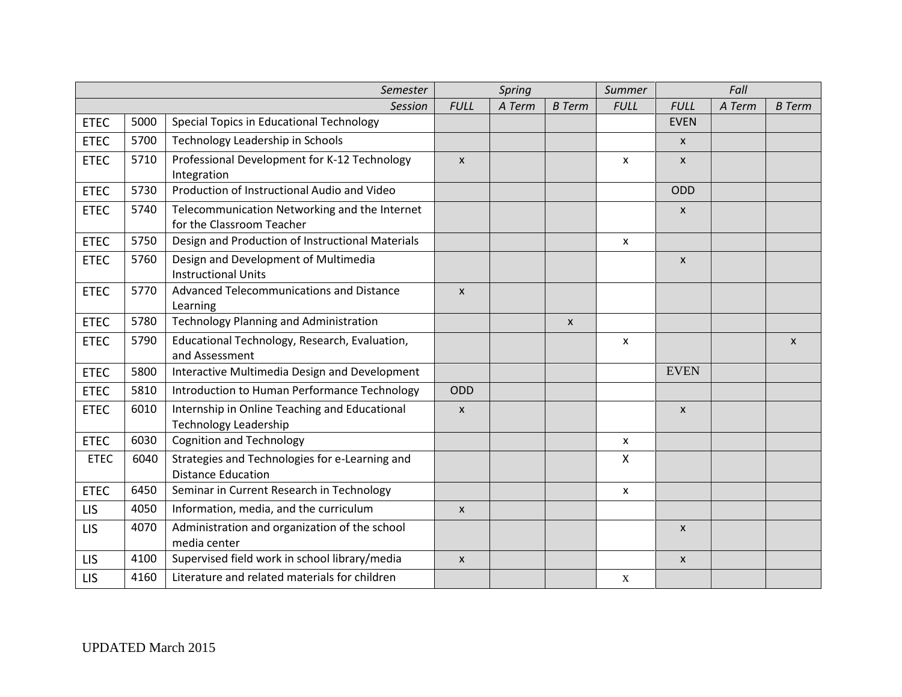|             | Semester |                                                                               |                           | Spring |                  | Summer                    | Fall                      |        |               |
|-------------|----------|-------------------------------------------------------------------------------|---------------------------|--------|------------------|---------------------------|---------------------------|--------|---------------|
|             | Session  |                                                                               |                           | A Term | <b>B</b> Term    | <b>FULL</b>               | <b>FULL</b>               | A Term | <b>B</b> Term |
| <b>ETEC</b> | 5000     | Special Topics in Educational Technology                                      |                           |        |                  |                           | <b>EVEN</b>               |        |               |
| <b>ETEC</b> | 5700     | Technology Leadership in Schools                                              |                           |        |                  |                           | $\mathsf{x}$              |        |               |
| <b>ETEC</b> | 5710     | Professional Development for K-12 Technology<br>Integration                   | $\mathsf{x}$              |        |                  | X                         | $\mathsf{x}$              |        |               |
| <b>ETEC</b> | 5730     | Production of Instructional Audio and Video                                   |                           |        |                  |                           | ODD                       |        |               |
| <b>ETEC</b> | 5740     | Telecommunication Networking and the Internet<br>for the Classroom Teacher    |                           |        |                  |                           | $\mathsf{x}$              |        |               |
| <b>ETEC</b> | 5750     | Design and Production of Instructional Materials                              |                           |        |                  | $\boldsymbol{\mathsf{x}}$ |                           |        |               |
| <b>ETEC</b> | 5760     | Design and Development of Multimedia<br><b>Instructional Units</b>            |                           |        |                  |                           | $\mathsf{x}$              |        |               |
| <b>ETEC</b> | 5770     | Advanced Telecommunications and Distance<br>Learning                          | $\mathsf{x}$              |        |                  |                           |                           |        |               |
| <b>ETEC</b> | 5780     | Technology Planning and Administration                                        |                           |        | $\boldsymbol{X}$ |                           |                           |        |               |
| <b>ETEC</b> | 5790     | Educational Technology, Research, Evaluation,<br>and Assessment               |                           |        |                  | X                         |                           |        | $\mathsf{x}$  |
| <b>ETEC</b> | 5800     | Interactive Multimedia Design and Development                                 |                           |        |                  |                           | <b>EVEN</b>               |        |               |
| <b>ETEC</b> | 5810     | Introduction to Human Performance Technology                                  | ODD                       |        |                  |                           |                           |        |               |
| <b>ETEC</b> | 6010     | Internship in Online Teaching and Educational<br><b>Technology Leadership</b> | $\boldsymbol{\mathsf{x}}$ |        |                  |                           | $\boldsymbol{\mathsf{x}}$ |        |               |
| <b>ETEC</b> | 6030     | <b>Cognition and Technology</b>                                               |                           |        |                  | $\pmb{\mathsf{x}}$        |                           |        |               |
| <b>ETEC</b> | 6040     | Strategies and Technologies for e-Learning and<br><b>Distance Education</b>   |                           |        |                  | $\mathsf{X}$              |                           |        |               |
| <b>ETEC</b> | 6450     | Seminar in Current Research in Technology                                     |                           |        |                  | X                         |                           |        |               |
| <b>LIS</b>  | 4050     | Information, media, and the curriculum                                        | $\boldsymbol{\mathsf{x}}$ |        |                  |                           |                           |        |               |
| <b>LIS</b>  | 4070     | Administration and organization of the school<br>media center                 |                           |        |                  |                           | $\mathsf{x}$              |        |               |
| <b>LIS</b>  | 4100     | Supervised field work in school library/media                                 | $\pmb{\times}$            |        |                  |                           | $\pmb{\chi}$              |        |               |
| LIS         | 4160     | Literature and related materials for children                                 |                           |        |                  | X                         |                           |        |               |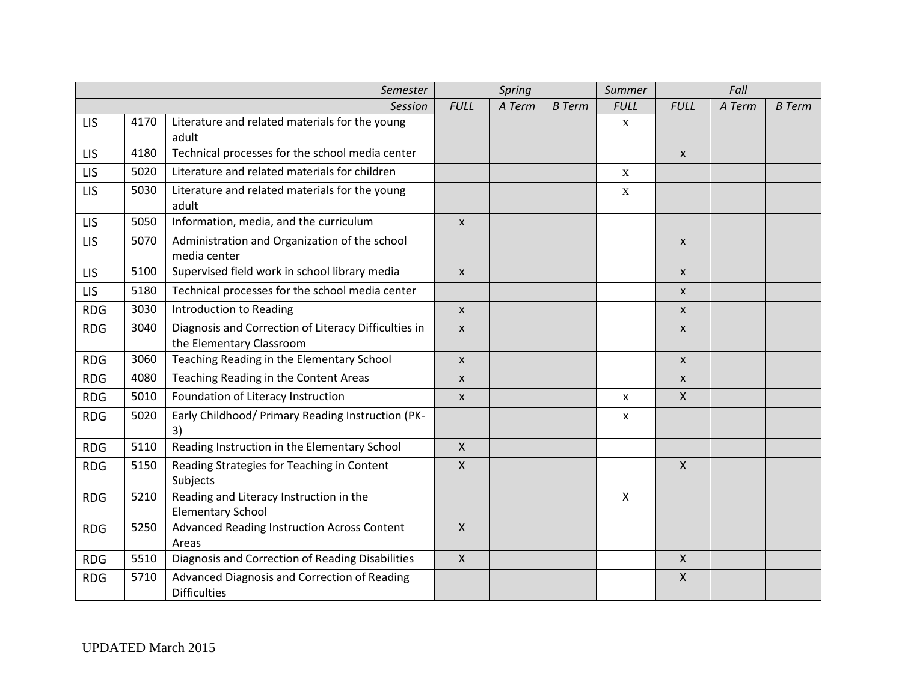| Semester   |      |                                                                                  | Spring                    |        | Summer        | Fall               |                           |        |               |
|------------|------|----------------------------------------------------------------------------------|---------------------------|--------|---------------|--------------------|---------------------------|--------|---------------|
|            |      | Session                                                                          | <b>FULL</b>               | A Term | <b>B</b> Term | <b>FULL</b>        | <b>FULL</b>               | A Term | <b>B</b> Term |
| LIS        | 4170 | Literature and related materials for the young<br>adult                          |                           |        |               | $\mathbf X$        |                           |        |               |
| LIS        | 4180 | Technical processes for the school media center                                  |                           |        |               |                    | $\boldsymbol{\mathsf{x}}$ |        |               |
| <b>LIS</b> | 5020 | Literature and related materials for children                                    |                           |        |               | $\mathbf X$        |                           |        |               |
| LIS        | 5030 | Literature and related materials for the young<br>adult                          |                           |        |               | $\mathbf X$        |                           |        |               |
| <b>LIS</b> | 5050 | Information, media, and the curriculum                                           | $\boldsymbol{X}$          |        |               |                    |                           |        |               |
| LIS        | 5070 | Administration and Organization of the school<br>media center                    |                           |        |               |                    | $\boldsymbol{\mathsf{x}}$ |        |               |
| LIS        | 5100 | Supervised field work in school library media                                    | $\boldsymbol{\mathsf{x}}$ |        |               |                    | $\mathsf{x}$              |        |               |
| LIS        | 5180 | Technical processes for the school media center                                  |                           |        |               |                    | $\boldsymbol{\mathsf{x}}$ |        |               |
| <b>RDG</b> | 3030 | Introduction to Reading                                                          | $\pmb{\times}$            |        |               |                    | $\mathsf{x}$              |        |               |
| <b>RDG</b> | 3040 | Diagnosis and Correction of Literacy Difficulties in<br>the Elementary Classroom | $\boldsymbol{\mathsf{x}}$ |        |               |                    | $\pmb{\mathsf{X}}$        |        |               |
| <b>RDG</b> | 3060 | Teaching Reading in the Elementary School                                        | $\boldsymbol{X}$          |        |               |                    | $\boldsymbol{\mathsf{x}}$ |        |               |
| <b>RDG</b> | 4080 | Teaching Reading in the Content Areas                                            | $\mathsf{x}$              |        |               |                    | $\mathsf{x}$              |        |               |
| <b>RDG</b> | 5010 | Foundation of Literacy Instruction                                               | $\pmb{\mathsf{X}}$        |        |               | $\pmb{\mathsf{X}}$ | $\mathsf{X}$              |        |               |
| <b>RDG</b> | 5020 | Early Childhood/ Primary Reading Instruction (PK-<br>3)                          |                           |        |               | $\pmb{\mathsf{X}}$ |                           |        |               |
| <b>RDG</b> | 5110 | Reading Instruction in the Elementary School                                     | $\mathsf{X}$              |        |               |                    |                           |        |               |
| <b>RDG</b> | 5150 | Reading Strategies for Teaching in Content<br>Subjects                           | $\pmb{\mathsf{X}}$        |        |               |                    | $\mathsf{X}$              |        |               |
| <b>RDG</b> | 5210 | Reading and Literacy Instruction in the<br><b>Elementary School</b>              |                           |        |               | $\mathsf{X}$       |                           |        |               |
| <b>RDG</b> | 5250 | Advanced Reading Instruction Across Content<br>Areas                             | $\mathsf{X}$              |        |               |                    |                           |        |               |
| <b>RDG</b> | 5510 | Diagnosis and Correction of Reading Disabilities                                 | $\mathsf{X}$              |        |               |                    | $\mathsf{X}$              |        |               |
| <b>RDG</b> | 5710 | Advanced Diagnosis and Correction of Reading<br><b>Difficulties</b>              |                           |        |               |                    | $\pmb{\times}$            |        |               |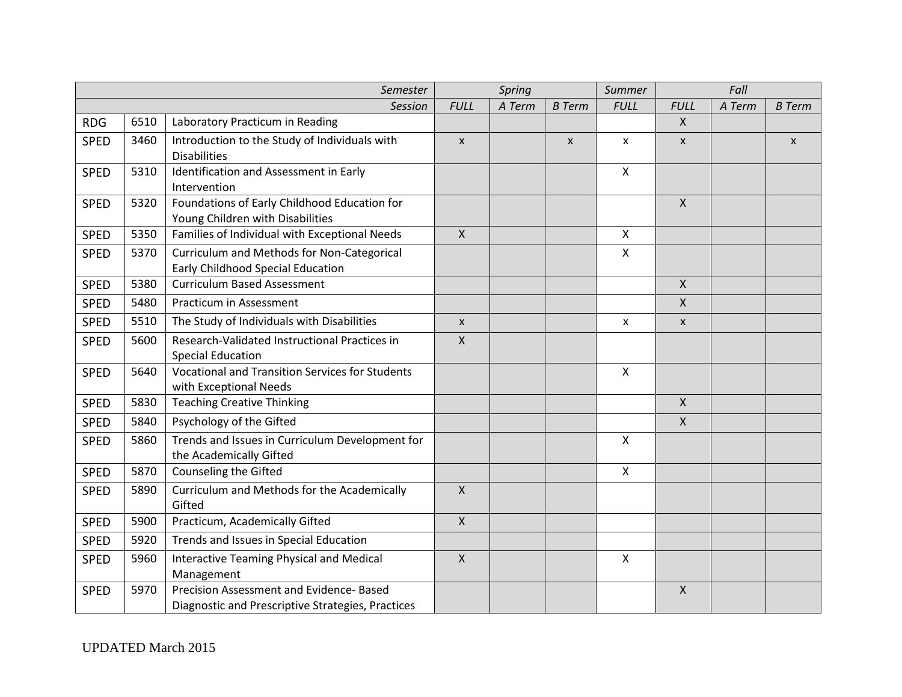|             | Semester |                                                        |                    | Spring |               | Summer<br>Fall |                           |        |               |  |
|-------------|----------|--------------------------------------------------------|--------------------|--------|---------------|----------------|---------------------------|--------|---------------|--|
|             |          | Session                                                | <b>FULL</b>        | A Term | <b>B</b> Term | <b>FULL</b>    | <b>FULL</b>               | A Term | <b>B</b> Term |  |
| <b>RDG</b>  | 6510     | Laboratory Practicum in Reading                        |                    |        |               |                | $\boldsymbol{\mathsf{X}}$ |        |               |  |
| <b>SPED</b> | 3460     | Introduction to the Study of Individuals with          | $\mathsf{x}$       |        | $\mathsf{x}$  | X              | $\mathsf{x}$              |        | X             |  |
|             |          | <b>Disabilities</b>                                    |                    |        |               |                |                           |        |               |  |
| <b>SPED</b> | 5310     | Identification and Assessment in Early                 |                    |        |               | $\mathsf{X}$   |                           |        |               |  |
|             |          | Intervention                                           |                    |        |               |                |                           |        |               |  |
| <b>SPED</b> | 5320     | Foundations of Early Childhood Education for           |                    |        |               |                | $\mathsf{X}$              |        |               |  |
|             |          | Young Children with Disabilities                       |                    |        |               |                |                           |        |               |  |
| <b>SPED</b> | 5350     | Families of Individual with Exceptional Needs          | $\mathsf{X}$       |        |               | $\mathsf{X}$   |                           |        |               |  |
| <b>SPED</b> | 5370     | Curriculum and Methods for Non-Categorical             |                    |        |               | $\mathsf{x}$   |                           |        |               |  |
|             |          | Early Childhood Special Education                      |                    |        |               |                |                           |        |               |  |
| <b>SPED</b> | 5380     | <b>Curriculum Based Assessment</b>                     |                    |        |               |                | $\mathsf{X}$              |        |               |  |
| <b>SPED</b> | 5480     | Practicum in Assessment                                |                    |        |               |                | $\mathsf{X}$              |        |               |  |
| <b>SPED</b> | 5510     | The Study of Individuals with Disabilities             | $\pmb{\mathsf{X}}$ |        |               | X              | $\pmb{\chi}$              |        |               |  |
| <b>SPED</b> | 5600     | Research-Validated Instructional Practices in          | $\mathsf{X}$       |        |               |                |                           |        |               |  |
|             |          | <b>Special Education</b>                               |                    |        |               |                |                           |        |               |  |
| <b>SPED</b> | 5640     | <b>Vocational and Transition Services for Students</b> |                    |        |               | $\mathsf{x}$   |                           |        |               |  |
|             |          | with Exceptional Needs                                 |                    |        |               |                |                           |        |               |  |
| <b>SPED</b> | 5830     | <b>Teaching Creative Thinking</b>                      |                    |        |               |                | $\boldsymbol{\mathsf{X}}$ |        |               |  |
| <b>SPED</b> | 5840     | Psychology of the Gifted                               |                    |        |               |                | $\boldsymbol{\mathsf{X}}$ |        |               |  |
| <b>SPED</b> | 5860     | Trends and Issues in Curriculum Development for        |                    |        |               | $\mathsf{X}$   |                           |        |               |  |
|             |          | the Academically Gifted                                |                    |        |               |                |                           |        |               |  |
| <b>SPED</b> | 5870     | Counseling the Gifted                                  |                    |        |               | $\mathsf{X}$   |                           |        |               |  |
| <b>SPED</b> | 5890     | Curriculum and Methods for the Academically            | $\mathsf{X}$       |        |               |                |                           |        |               |  |
|             |          | Gifted                                                 |                    |        |               |                |                           |        |               |  |
| <b>SPED</b> | 5900     | Practicum, Academically Gifted                         | $\mathsf{X}$       |        |               |                |                           |        |               |  |
| <b>SPED</b> | 5920     | Trends and Issues in Special Education                 |                    |        |               |                |                           |        |               |  |
| <b>SPED</b> | 5960     | Interactive Teaming Physical and Medical               | $\mathsf{X}$       |        |               | $\mathsf{x}$   |                           |        |               |  |
|             |          | Management                                             |                    |        |               |                |                           |        |               |  |
| <b>SPED</b> | 5970     | Precision Assessment and Evidence- Based               |                    |        |               |                | $\boldsymbol{\mathsf{X}}$ |        |               |  |
|             |          | Diagnostic and Prescriptive Strategies, Practices      |                    |        |               |                |                           |        |               |  |